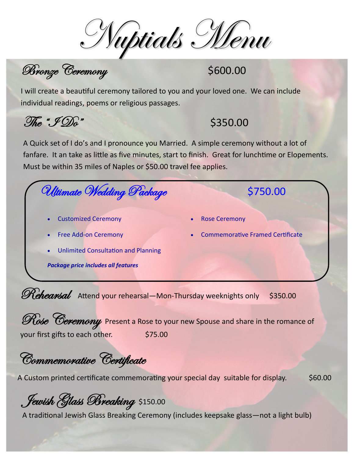Nuptials Menu

Bronze Ceremony \$600.00

I will create a beautiful ceremony tailored to you and your loved one. We can include individual readings, poems or religious passages.

 $\mathscr{T}$   $\mathscr{T}$   $\mathscr{D}$   $\mathscr{D}$   $\mathscr{D}$   $\mathscr{D}$   $\mathscr{D}$   $\mathscr{D}$   $\mathscr{D}$   $\mathscr{D}$   $\mathscr{D}$   $\mathscr{D}$   $\mathscr{D}$   $\mathscr{D}$   $\mathscr{D}$   $\mathscr{D}$   $\mathscr{D}$   $\mathscr{D}$   $\mathscr{D}$   $\mathscr{D}$   $\mathscr{D}$   $\mathscr{D}$   $\mathscr{D}$   $\mathscr{D}$   $\mathscr{$ 

A Quick set of I do's and I pronounce you Married. A simple ceremony without a lot of fanfare. It an take as little as five minutes, start to finish. Great for lunchtime or Elopements. Must be within 35 miles of Naples or \$50.00 travel fee applies.

| Ultimate Wedding Package                                                                                                                                | \$750.00                                |
|---------------------------------------------------------------------------------------------------------------------------------------------------------|-----------------------------------------|
| <b>Customized Ceremony</b>                                                                                                                              | <b>Rose Ceremony</b>                    |
| <b>Free Add-on Ceremony</b>                                                                                                                             | <b>Commemorative Framed Certificate</b> |
| <b>Unlimited Consultation and Planning</b>                                                                                                              |                                         |
| <b>Package price includes all features</b>                                                                                                              |                                         |
| Rehearsal Attend your rehearsal-Mon-Thursday weeknights only<br>\$350.00<br>Rose Ceremony Present a Rose to your new Spouse and share in the romance of |                                         |
| your first gifts to each other.<br>\$75.00                                                                                                              |                                         |
| Commemorative Certificate                                                                                                                               |                                         |

A Custom printed certificate commemorating your special day suitable for display. \$60.00

Jewish Glass Breaking \$150.00

A traditional Jewish Glass Breaking Ceremony (includes keepsake glass—not a light bulb)